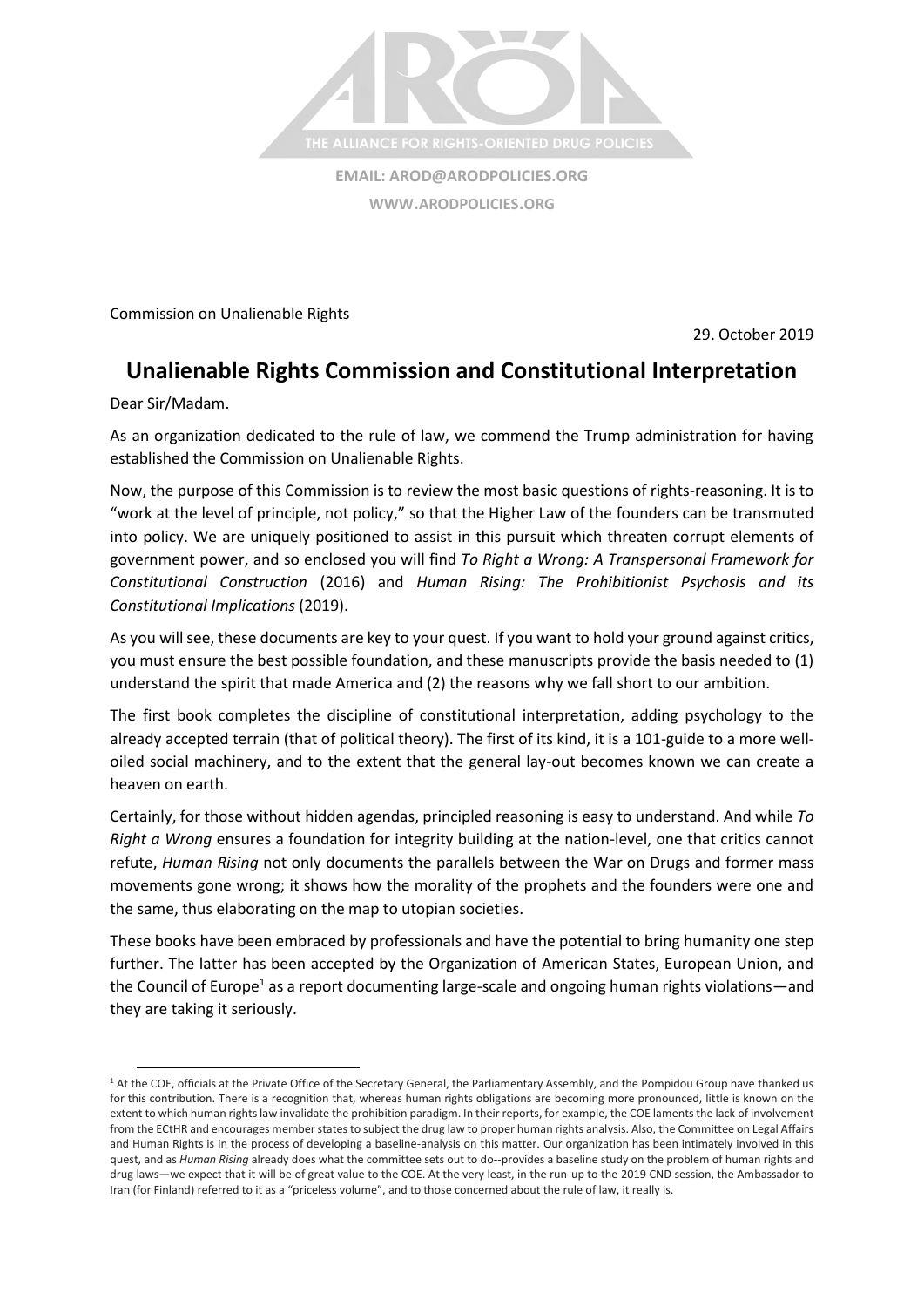

Commission on Unalienable Rights

29. October 2019

## **Unalienable Rights Commission and Constitutional Interpretation**

Dear Sir/Madam.

As an organization dedicated to the rule of law, we commend the Trump administration for having established the Commission on Unalienable Rights.

Now, the purpose of this Commission is to review the most basic questions of rights-reasoning. It is to "work at the level of principle, not policy," so that the Higher Law of the founders can be transmuted into policy. We are uniquely positioned to assist in this pursuit which threaten corrupt elements of government power, and so enclosed you will find *To Right a Wrong: A Transpersonal Framework for Constitutional Construction* (2016) and *Human Rising: The Prohibitionist Psychosis and its Constitutional Implications* (2019).

As you will see, these documents are key to your quest. If you want to hold your ground against critics, you must ensure the best possible foundation, and these manuscripts provide the basis needed to (1) understand the spirit that made America and (2) the reasons why we fall short to our ambition.

The first book completes the discipline of constitutional interpretation, adding psychology to the already accepted terrain (that of political theory). The first of its kind, it is a 101-guide to a more welloiled social machinery, and to the extent that the general lay-out becomes known we can create a heaven on earth.

Certainly, for those without hidden agendas, principled reasoning is easy to understand. And while *To Right a Wrong* ensures a foundation for integrity building at the nation-level, one that critics cannot refute, *Human Rising* not only documents the parallels between the War on Drugs and former mass movements gone wrong; it shows how the morality of the prophets and the founders were one and the same, thus elaborating on the map to utopian societies.

These books have been embraced by professionals and have the potential to bring humanity one step further. The latter has been accepted by the Organization of American States, European Union, and the Council of Europe<sup>1</sup> as a report documenting large-scale and ongoing human rights violations—and they are taking it seriously.

<sup>&</sup>lt;sup>1</sup> At the COE, officials at the Private Office of the Secretary General, the Parliamentary Assembly, and the Pompidou Group have thanked us for this contribution. There is a recognition that, whereas human rights obligations are becoming more pronounced, little is known on the extent to which human rights law invalidate the prohibition paradigm. In their reports, for example, the COE laments the lack of involvement from the ECtHR and encourages member states to subject the drug law to proper human rights analysis. Also, the Committee on Legal Affairs and Human Rights is in the process of developing a baseline-analysis on this matter. Our organization has been intimately involved in this quest, and as *Human Rising* already does what the committee sets out to do--provides a baseline study on the problem of human rights and drug laws—we expect that it will be of great value to the COE. At the very least, in the run-up to the 2019 CND session, the Ambassador to Iran (for Finland) referred to it as a "priceless volume", and to those concerned about the rule of law, it really is.